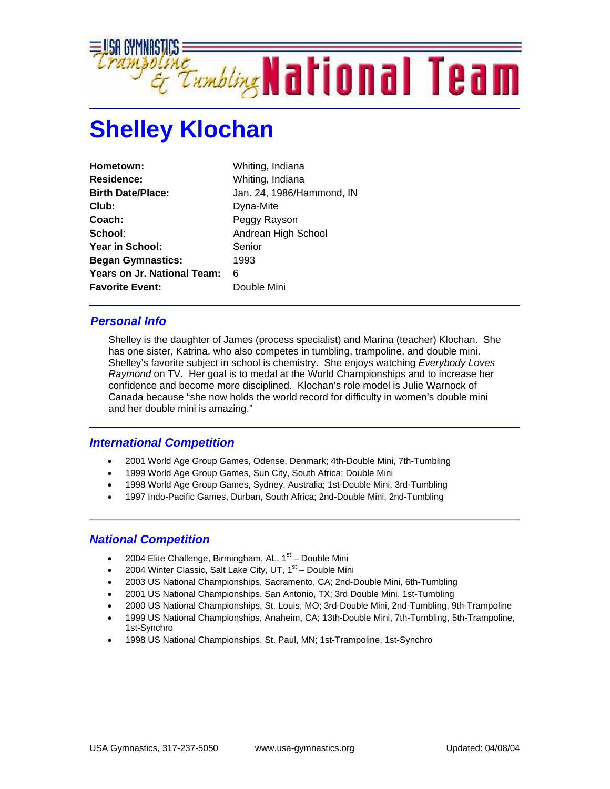

## **Shelley Klochan**

| Hometown:                          | Whiting, Indiana          |
|------------------------------------|---------------------------|
| <b>Residence:</b>                  | Whiting, Indiana          |
| <b>Birth Date/Place:</b>           | Jan. 24, 1986/Hammond, IN |
| Club:                              | Dyna-Mite                 |
| Coach:                             | Peggy Rayson              |
| School:                            | Andrean High School       |
| Year in School:                    | Senior                    |
| <b>Began Gymnastics:</b>           | 1993                      |
| <b>Years on Jr. National Team:</b> | 6                         |
| <b>Favorite Event:</b>             | Double Mini               |

## *Personal Info*

Shelley is the daughter of James (process specialist) and Marina (teacher) Klochan. She has one sister, Katrina, who also competes in tumbling, trampoline, and double mini. Shelley's favorite subject in school is chemistry. She enjoys watching *Everybody Loves Raymond* on TV. Her goal is to medal at the World Championships and to increase her confidence and become more disciplined. Klochan's role model is Julie Warnock of Canada because "she now holds the world record for difficulty in women's double mini and her double mini is amazing."

## *International Competition*

- 2001 World Age Group Games, Odense, Denmark; 4th-Double Mini, 7th-Tumbling
- 1999 World Age Group Games, Sun City, South Africa; Double Mini
- 1998 World Age Group Games, Sydney, Australia; 1st-Double Mini, 3rd-Tumbling
- 1997 Indo-Pacific Games, Durban, South Africa; 2nd-Double Mini, 2nd-Tumbling

## *National Competition*

- 2004 Elite Challenge, Birmingham, AL,  $1<sup>st</sup>$  Double Mini
- 2004 Winter Classic, Salt Lake City, UT,  $1<sup>st</sup>$  Double Mini
- 2003 US National Championships, Sacramento, CA; 2nd-Double Mini, 6th-Tumbling
- 2001 US National Championships, San Antonio, TX; 3rd Double Mini, 1st-Tumbling
- 2000 US National Championships, St. Louis, MO; 3rd-Double Mini, 2nd-Tumbling, 9th-Trampoline
- 1999 US National Championships, Anaheim, CA; 13th-Double Mini, 7th-Tumbling, 5th-Trampoline, 1st-Synchro
- 1998 US National Championships, St. Paul, MN; 1st-Trampoline, 1st-Synchro